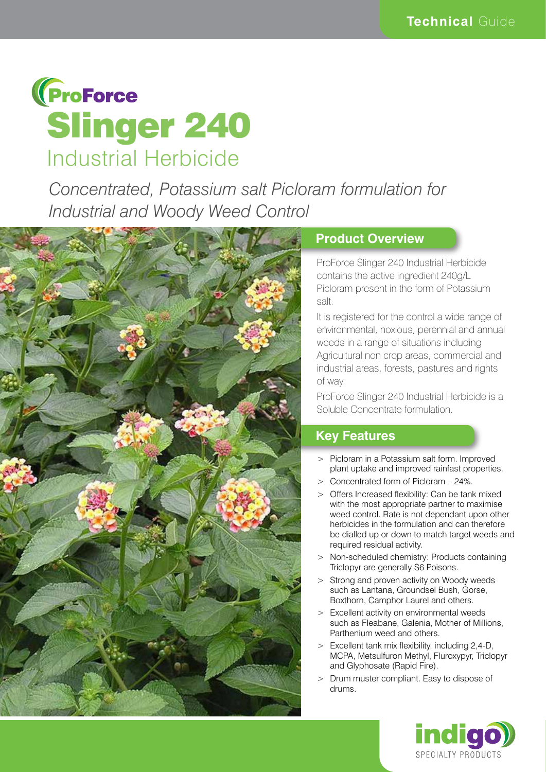

*Concentrated, Potassium salt Picloram formulation for Industrial and Woody Weed Control*



#### **Product Overview**

ProForce Slinger 240 Industrial Herbicide contains the active ingredient 240g/L Picloram present in the form of Potassium salt.

It is registered for the control a wide range of environmental, noxious, perennial and annual weeds in a range of situations including Agricultural non crop areas, commercial and industrial areas, forests, pastures and rights of way.

ProForce Slinger 240 Industrial Herbicide is a Soluble Concentrate formulation.

#### **Key Features**

- > Picloram in a Potassium salt form. Improved plant uptake and improved rainfast properties.
- > Concentrated form of Picloram 24%.
- > Offers Increased flexibility: Can be tank mixed with the most appropriate partner to maximise weed control. Rate is not dependant upon other herbicides in the formulation and can therefore be dialled up or down to match target weeds and required residual activity.
- > Non-scheduled chemistry: Products containing Triclopyr are generally S6 Poisons.
- > Strong and proven activity on Woody weeds such as Lantana, Groundsel Bush, Gorse, Boxthorn, Camphor Laurel and others.
- > Excellent activity on environmental weeds such as Fleabane, Galenia, Mother of Millions, Parthenium weed and others.
- > Excellent tank mix flexibility, including 2,4-D, MCPA, Metsulfuron Methyl, Fluroxypyr, Triclopyr and Glyphosate (Rapid Fire).
- > Drum muster compliant. Easy to dispose of drums.